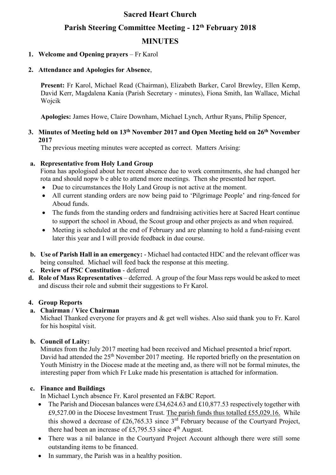# **Sacred Heart Church Parish Steering Committee Meeting - 12 th February 2018 MINUTES**

### **1. Welcome and Opening prayers** – Fr Karol

#### **2. Attendance and Apologies for Absence**,

**Present:** Fr Karol, Michael Read (Chairman), Elizabeth Barker, Carol Brewley, Ellen Kemp, David Kerr, Magdalena Kania (Parish Secretary - minutes), Fiona Smith, Ian Wallace, Michal Wojcik

**Apologies:** James Howe, Claire Downham, Michael Lynch, Arthur Ryans, Philip Spencer,

#### **3. Minutes of Meeting held on 13th November 2017 and Open Meeting held on 26th November 2017**

The previous meeting minutes were accepted as correct. Matters Arising:

#### **a. Representative from Holy Land Group**

Fiona has apologised about her recent absence due to work commitments, she had changed her rota and should nopw b e able to attend more meetings. Then she presented her report.

- Due to circumstances the Holy Land Group is not active at the moment.
- All current standing orders are now being paid to 'Pilgrimage People' and ring-fenced for Aboud funds.
- The funds from the standing orders and fundraising activities here at Sacred Heart continue to support the school in Aboud, the Scout group and other projects as and when required.
- Meeting is scheduled at the end of February and are planning to hold a fund-raising event later this year and I will provide feedback in due course.
- **b. Use of Parish Hall in an emergency:** Michael had contacted HDC and the relevant officer was being consulted. Michael will feed back the response at this meeting.
- **c. Review of PSC Constitution**  deferred
- **d. Role of Mass Representatives**  deferred. A group of the four Mass reps would be asked to meet and discuss their role and submit their suggestions to Fr Karol.

#### **4. Group Reports**

### **a. Chairman / Vice Chairman**

Michael Thanked everyone for prayers and & get well wishes. Also said thank you to Fr. Karol for his hospital visit.

#### **b. Council of Laity:**

Minutes from the July 2017 meeting had been received and Michael presented a brief report. David had attended the 25<sup>th</sup> November 2017 meeting. He reported briefly on the presentation on Youth Ministry in the Diocese made at the meeting and, as there will not be formal minutes, the interesting paper from which Fr Luke made his presentation is attached for information.

#### **c. Finance and Buildings**

In Michael Lynch absence Fr. Karol presented an F&BC Report.

- The Parish and Diocesan balances were £34,624.63 and £10,877.53 respectively together with £9,527.00 in the Diocese Investment Trust. The parish funds thus totalled £55,029.16. While this showed a decrease of £26,765.33 since  $3<sup>rd</sup>$  February because of the Courtyard Project, there had been an increase of £5,795.53 since  $4<sup>th</sup>$  August.
- There was a nil balance in the Courtyard Project Account although there were still some outstanding items to be financed.
- In summary, the Parish was in a healthy position.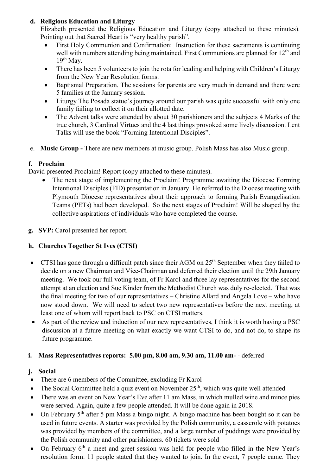# **d. Religious Education and Liturgy**

Elizabeth presented the Religious Education and Liturgy (copy attached to these minutes). Pointing out that Sacred Heart is "very healthy parish".

- First Holy Communion and Confirmation: Instruction for these sacraments is continuing well with numbers attending being maintained. First Communions are planned for  $12<sup>th</sup>$  and  $19<sup>th</sup>$  May.
- There has been 5 volunteers to join the rota for leading and helping with Children's Liturgy from the New Year Resolution forms.
- Baptismal Preparation. The sessions for parents are very much in demand and there were 5 families at the January session.
- Liturgy The Posada statue's journey around our parish was quite successful with only one family failing to collect it on their allotted date.
- The Advent talks were attended by about 30 parishioners and the subjects 4 Marks of the true church, 3 Cardinal Virtues and the 4 last things provoked some lively discussion. Lent Talks will use the book "Forming Intentional Disciples".
- e. **Music Group -** There are new members at music group. Polish Mass has also Music group.

# **f. Proclaim**

David presented Proclaim! Report (copy attached to these minutes).

- The next stage of implementing the Proclaim! Programme awaiting the Diocese Forming Intentional Disciples (FID) presentation in January. He referred to the Diocese meeting with Plymouth Diocese representatives about their approach to forming Parish Evangelisation Teams (PETs) had been developed. So the next stages of Proclaim! Will be shaped by the collective aspirations of individuals who have completed the course.
- **g. SVP:** Carol presented her report.

# **h. Churches Together St Ives (CTSI)**

- CTSI has gone through a difficult patch since their AGM on  $25<sup>th</sup>$  September when they failed to decide on a new Chairman and Vice-Chairman and deferred their election until the 29th January meeting. We took our full voting team, of Fr Karol and three lay representatives for the second attempt at an election and Sue Kinder from the Methodist Church was duly re-elected. That was the final meeting for two of our representatives – Christine Allard and Angela Love – who have now stood down. We will need to select two new representatives before the next meeting, at least one of whom will report back to PSC on CTSI matters.
- As part of the review and induction of our new representatives, I think it is worth having a PSC discussion at a future meeting on what exactly we want CTSI to do, and not do, to shape its future programme.

### **i. Mass Representatives reports: 5.00 pm, 8.00 am, 9.30 am, 11.00 am-** - deferred

### **j. Social**

- There are 6 members of the Committee, excluding Fr Karol
- The Social Committee held a quiz event on November  $25<sup>th</sup>$ , which was quite well attended
- There was an event on New Year's Eve after 11 am Mass, in which mulled wine and mince pies were served. Again, quite a few people attended. It will be done again in 2018.
- On February  $5<sup>th</sup>$  after 5 pm Mass a bingo night. A bingo machine has been bought so it can be used in future events. A starter was provided by the Polish community, a casserole with potatoes was provided by members of the committee, and a large number of puddings were provided by the Polish community and other parishioners. 60 tickets were sold
- On February 6<sup>th</sup> a meet and greet session was held for people who filled in the New Year's resolution form. 11 people stated that they wanted to join. In the event, 7 people came. They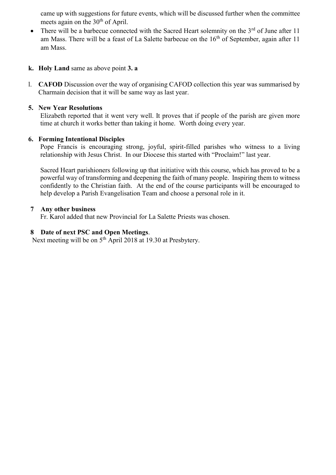came up with suggestions for future events, which will be discussed further when the committee meets again on the  $30<sup>th</sup>$  of April.

- There will be a barbecue connected with the Sacred Heart solemnity on the  $3<sup>rd</sup>$  of June after 11 am Mass. There will be a feast of La Salette barbecue on the  $16<sup>th</sup>$  of September, again after 11 am Mass.
- **k. Holy Land** same as above point **3. a**
- l. **CAFOD** Discussion over the way of organising CAFOD collection this year was summarised by Charmain decision that it will be same way as last year.

## **5. New Year Resolutions**

Elizabeth reported that it went very well. It proves that if people of the parish are given more time at church it works better than taking it home. Worth doing every year.

### **6. Forming Intentional Disciples**

Pope Francis is encouraging strong, joyful, spirit-filled parishes who witness to a living relationship with Jesus Christ. In our Diocese this started with "Proclaim!" last year.

Sacred Heart parishioners following up that initiative with this course, which has proved to be a powerful way of transforming and deepening the faith of many people. Inspiring them to witness confidently to the Christian faith. At the end of the course participants will be encouraged to help develop a Parish Evangelisation Team and choose a personal role in it.

### **7 Any other business**

Fr. Karol added that new Provincial for La Salette Priests was chosen.

# **8 Date of next PSC and Open Meetings**.

Next meeting will be on 5<sup>th</sup> April 2018 at 19.30 at Presbytery.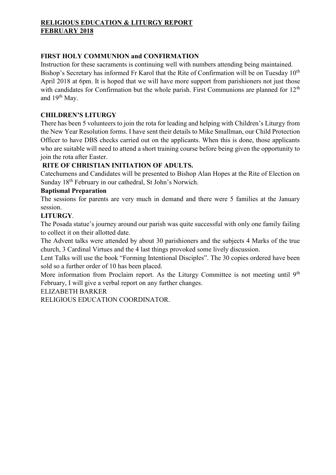# **RELIGIOUS EDUCATION & LITURGY REPORT FEBRUARY 2018**

## **FIRST HOLY COMMUNION and CONFIRMATION**

Instruction for these sacraments is continuing well with numbers attending being maintained. Bishop's Secretary has informed Fr Karol that the Rite of Confirmation will be on Tuesday 10<sup>th</sup> April 2018 at 6pm. It is hoped that we will have more support from parishioners not just those with candidates for Confirmation but the whole parish. First Communions are planned for 12<sup>th</sup> and 19<sup>th</sup> May.

### **CHILDREN'S LITURGY**

There has been 5 volunteers to join the rota for leading and helping with Children's Liturgy from the New Year Resolution forms. I have sent their details to Mike Smallman, our Child Protection Officer to have DBS checks carried out on the applicants. When this is done, those applicants who are suitable will need to attend a short training course before being given the opportunity to join the rota after Easter.

# **RITE OF CHRISTIAN INITIATION OF ADULTS.**

Catechumens and Candidates will be presented to Bishop Alan Hopes at the Rite of Election on Sunday 18th February in our cathedral, St John's Norwich.

# **Baptismal Preparation**

The sessions for parents are very much in demand and there were 5 families at the January session.

### **LITURGY**.

The Posada statue's journey around our parish was quite successful with only one family failing to collect it on their allotted date.

The Advent talks were attended by about 30 parishioners and the subjects 4 Marks of the true church, 3 Cardinal Virtues and the 4 last things provoked some lively discussion.

Lent Talks will use the book "Forming Intentional Disciples". The 30 copies ordered have been sold so a further order of 10 has been placed.

More information from Proclaim report. As the Liturgy Committee is not meeting until 9<sup>th</sup> February, I will give a verbal report on any further changes.

### ELIZABETH BARKER

RELIGIOUS EDUCATION COORDINATOR.